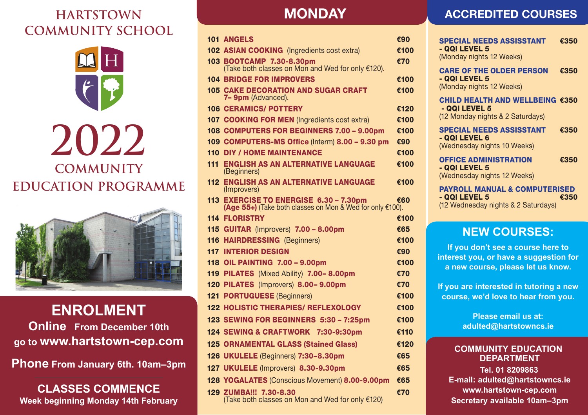## **HARTSTOWN COMMUNITY SCHOOL** PROGRAMMENT DO.





## **ENROLMENT Postalline From December 10th School** September 21st ♦ 7–9pm  $\sim$  www.lialestowit-cep.c

**CLASSES COMMENCE go to www.hartstown-cep.com Phone From January 6th. 10am–3pm Week beginning Monday 5th October**

**CLASSES COMMENCE Week beginning Monday 14th February** 

#### **CONLINE MONDAY 1. Go on to www.hartstown-cep.com**

|     | <b>101 ANGELS</b>                                                                                      | €90  |
|-----|--------------------------------------------------------------------------------------------------------|------|
|     | <b>102 ASIAN COOKING</b> (Ingredients cost extra)                                                      | €100 |
|     | 103 BOOTCAMP 7.30-8.30pm<br>(Take both classes on Mon and Wed for only €120).                          | €70  |
|     | <b>104 BRIDGE FOR IMPROVERS</b>                                                                        | €100 |
|     | <b>105 CAKE DECORATION AND SUGAR CRAFT</b><br>7- 9pm (Advanced).                                       | €100 |
|     | <b>106 CERAMICS/ POTTERY</b>                                                                           | €120 |
|     | 107 COOKING FOR MEN (Ingredients cost extra)                                                           | €100 |
|     | 108 COMPUTERS FOR BEGINNERS 7.00 - 9.00pm                                                              | €100 |
|     | 109 COMPUTERS-MS Office (Interm) 8.00 - 9.30 pm                                                        | €90  |
|     | <b>110 DIY / HOME MAINTENANCE</b>                                                                      | €100 |
| 111 | <b>ENGLISH AS AN ALTERNATIVE LANGUAGE</b><br>(Beginners)                                               | €100 |
|     | <b>112 ENGLISH AS AN ALTERNATIVE LANGUAGE</b><br>(Improvers)                                           | €100 |
|     | 113 EXERCISE TO ENERGISE 6.30 - 7.30pm €6<br>(Age 55+) (Take both classes on Mon & Wed for only €100). | €60  |
|     | <b>114 FLORISTRY</b>                                                                                   | €100 |
|     | 115 GUITAR (Improvers) 7.00 - 8.00pm                                                                   | €65  |
|     | <b>116 HAIRDRESSING (Beginners)</b>                                                                    | €100 |
| 117 | <b>INTERIOR DESIGN</b>                                                                                 | €90  |
|     | <b>118 OIL PAINTING 7.00 - 9.00pm</b>                                                                  | €100 |
|     | 119 PILATES (Mixed Ability) 7.00-8.00pm                                                                | €70  |
|     | 120 PILATES (Improvers) 8.00-9.00pm                                                                    | €70  |
|     | <b>121 PORTUGUESE (Beginners)</b>                                                                      | €100 |
|     | <b>122 HOLISTIC THERAPIES/ REFLEXOLOGY</b>                                                             | €100 |
|     | 123 SEWING FOR BEGINNERS 5:30 - 7:25pm                                                                 | €100 |
|     | 124 SEWING & CRAFTWORK 7:30-9:30pm                                                                     | €110 |
|     | <b>125 ORNAMENTAL GLASS (Stained Glass)</b>                                                            | €120 |
|     | 126 UKULELE (Beginners) 7:30-8.30pm                                                                    | €65  |
|     | 127 UKULELE (Improvers) 8.30-9.30pm                                                                    | €65  |
|     | 128 YOGALATES (Conscious Movement) 8.00-9.00pm                                                         | €65  |
|     |                                                                                                        |      |
|     | 129 ZUMBA !!! 7.30-8.30<br>(Take both classes on Mon and Wed for only €120)                            | €70  |

## **ACCREDITED COURSES**

| <b>SPECIAL NEEDS ASSISSTANT</b><br>- QQI LEVEL 5<br>(Monday nights 12 Weeks)                     | €350 |
|--------------------------------------------------------------------------------------------------|------|
| <b>CARE OF THE OLDER PERSON</b><br>- QQI LEVEL 5<br>(Monday nights 12 Weeks)                     | €350 |
| CHILD HEALTH AND WELLBEING €350<br>- QQI LEVEL 5<br>(12 Monday nights & 2 Saturdays)             |      |
| <b>SPECIAL NEEDS ASSISSTANT</b><br>- QQI LEVEL 6<br>(Wednesday nights 10 Weeks)                  | €350 |
| <b>OFFICE ADMINISTRATION</b><br>- QQI LEVEL 5<br>(Wednesday nights 12 Weeks)                     | €350 |
| <b>PAYROLL MANUAL &amp; COMPUTERISED</b><br>- QQI LEVEL 5<br>(12 Wednesday nights & 2 Saturdays) | €350 |

## **NEW COURSES:**

If you don't see a course here to **interest you, or have a suggestion for** a new course, please let us know.

**If you are interested in tutoring a new**  course, we'd love to hear from you.

> **Please email us at: adulted@hartstowncs.ie**

#### **COMMUNITY EDUCATION DEPARTMENT**

**Tel. 01 8209863 E-mail: adulted@hartstowncs.ie www.hartstown-cep.com Secretary available 10am–3pm**